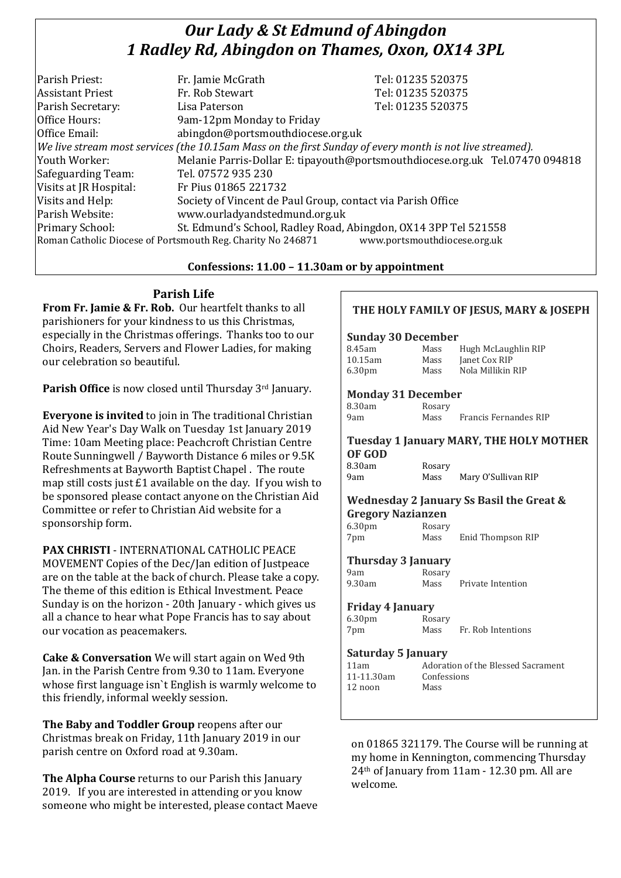# *Our Lady & St Edmund of Abingdon 1 Radley Rd, Abingdon on Thames, Oxon, OX14 3PL*

| Parish Priest:          | Fr. Jamie McGrath                                                                                        | Tel: 01235 520375                                                            |  |
|-------------------------|----------------------------------------------------------------------------------------------------------|------------------------------------------------------------------------------|--|
| <b>Assistant Priest</b> | Fr. Rob Stewart                                                                                          | Tel: 01235 520375                                                            |  |
| Parish Secretary:       | Lisa Paterson                                                                                            | Tel: 01235 520375                                                            |  |
| Office Hours:           | 9am-12pm Monday to Friday                                                                                |                                                                              |  |
| Office Email:           | abingdon@portsmouthdiocese.org.uk                                                                        |                                                                              |  |
|                         | We live stream most services (the 10.15am Mass on the first Sunday of every month is not live streamed). |                                                                              |  |
| Youth Worker:           |                                                                                                          | Melanie Parris-Dollar E: tipayouth@portsmouthdiocese.org.uk Tel.07470 094818 |  |
| Safeguarding Team:      | Tel. 07572 935 230                                                                                       |                                                                              |  |
| Visits at JR Hospital:  | Fr Pius 01865 221732                                                                                     |                                                                              |  |
| Visits and Help:        | Society of Vincent de Paul Group, contact via Parish Office                                              |                                                                              |  |
| Parish Website:         | www.ourladyandstedmund.org.uk                                                                            |                                                                              |  |
| Primary School:         | St. Edmund's School, Radley Road, Abingdon, OX14 3PP Tel 521558                                          |                                                                              |  |
|                         | Roman Catholic Diocese of Portsmouth Reg. Charity No 246871                                              | www.portsmouthdiocese.org.uk                                                 |  |

## **Confessions: 11.00 – 11.30am or by appointment**

**Parish Life**

**From Fr. Jamie & Fr. Rob.** Our heartfelt thanks to all parishioners for your kindness to us this Christmas, especially in the Christmas offerings. Thanks too to our Choirs, Readers, Servers and Flower Ladies, for making our celebration so beautiful.

**Parish Office** is now closed until Thursday 3rd January.

**Everyone is invited** to join in The traditional Christian Aid New Year's Day Walk on Tuesday 1st January 2019 Time: 10am Meeting place: Peachcroft Christian Centre Route Sunningwell / Bayworth Distance 6 miles or 9.5K Refreshments at Bayworth Baptist Chapel . The route map still costs just £1 available on the day. If you wish to be sponsored please contact anyone on the Christian Aid Committee or refer to Christian Aid website for a sponsorship form.

**PAX CHRISTI** - INTERNATIONAL CATHOLIC PEACE

MOVEMENT Copies of the Dec/Jan edition of Justpeace are on the table at the back of church. Please take a copy. The theme of this edition is Ethical Investment. Peace Sunday is on the horizon - 20th January - which gives us all a chance to hear what Pope Francis has to say about our vocation as peacemakers.

**Cake & Conversation** We will start again on Wed 9th Jan. in the Parish Centre from 9.30 to 11am. Everyone whose first language isn`t English is warmly welcome to this friendly, informal weekly session.

**The Baby and Toddler Group** reopens after our Christmas break on Friday, 11th January 2019 in our parish centre on Oxford road at 9.30am.

**The Alpha Course** returns to our Parish this January 2019. If you are interested in attending or you know someone who might be interested, please contact Maeve

## **THE HOLY FAMILY OF JESUS, MARY & JOSEPH**

### **Sunday 30 December**

| 8.45am             | Mass | Hugh McLaughlin RIP |
|--------------------|------|---------------------|
| 10.15am            | Mass | Janet Cox RIP       |
| 6.30 <sub>pm</sub> | Mass | Nola Millikin RIP   |

## **Monday 31 December**

| 8.30am | Rosary |                       |
|--------|--------|-----------------------|
| 9am    | Mass   | Francis Fernandes RIP |

### **Tuesday 1 January MARY, THE HOLY MOTHER OF GOD**

8.30am Rosary 9am Mass Mary O'Sullivan RIP

#### **Wednesday 2 January Ss Basil the Great & Gregory Nazianzen**

| aregory naznanzen  |        |                   |  |
|--------------------|--------|-------------------|--|
| 6.30 <sub>pm</sub> | Rosary |                   |  |
| 7pm                | Mass   | Enid Thompson RIP |  |

**Thursday 3 January**

9am Rosary 9.30am Mass Private Intention

# **Friday 4 January**

6.30pm Rosary 7pm Mass Fr. Rob Intentions

### **Saturday 5 January**

| Adoration o |
|-------------|
| Confessions |
| Mass        |
|             |

11am Adoration of the Blessed Sacrament

on 01865 321179. The Course will be running at my home in Kennington, commencing Thursday 24th of January from 11am - 12.30 pm. All are welcome.